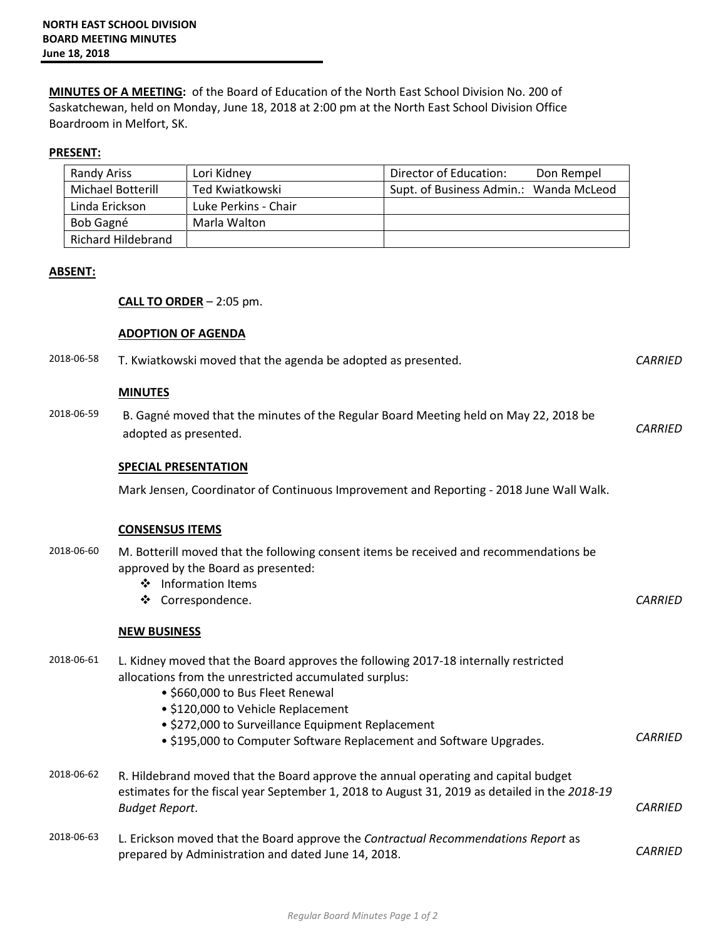**MINUTES OF A MEETING:** of the Board of Education of the North East School Division No. 200 of Saskatchewan, held on Monday, June 18, 2018 at 2:00 pm at the North East School Division Office Boardroom in Melfort, SK.

## **PRESENT:**

| <b>Randy Ariss</b> | Lori Kidney          | Director of Education:<br>Don Rempel   |
|--------------------|----------------------|----------------------------------------|
| Michael Botterill  | Ted Kwiatkowski      | Supt. of Business Admin.: Wanda McLeod |
| Linda Erickson     | Luke Perkins - Chair |                                        |
| Bob Gagné          | Marla Walton         |                                        |
| Richard Hildebrand |                      |                                        |

## **ABSENT:**

## **CALL TO ORDER** – 2:05 pm.

# **ADOPTION OF AGENDA**

|            | השהואה וס ווסוד וטפר                                                                                                                                                                                         |                |
|------------|--------------------------------------------------------------------------------------------------------------------------------------------------------------------------------------------------------------|----------------|
| 2018-06-58 | T. Kwiatkowski moved that the agenda be adopted as presented.                                                                                                                                                | <b>CARRIED</b> |
|            | <b>MINUTES</b>                                                                                                                                                                                               |                |
| 2018-06-59 | B. Gagné moved that the minutes of the Regular Board Meeting held on May 22, 2018 be<br>adopted as presented.                                                                                                | <b>CARRIED</b> |
|            | <b>SPECIAL PRESENTATION</b>                                                                                                                                                                                  |                |
|            | Mark Jensen, Coordinator of Continuous Improvement and Reporting - 2018 June Wall Walk.                                                                                                                      |                |
|            | <b>CONSENSUS ITEMS</b>                                                                                                                                                                                       |                |
| 2018-06-60 | M. Botterill moved that the following consent items be received and recommendations be<br>approved by the Board as presented:<br>❖ Information Items                                                         |                |
|            | ❖ Correspondence.                                                                                                                                                                                            | <b>CARRIED</b> |
|            | <b>NEW BUSINESS</b>                                                                                                                                                                                          |                |
| 2018-06-61 | L. Kidney moved that the Board approves the following 2017-18 internally restricted<br>allocations from the unrestricted accumulated surplus:<br>· \$660,000 to Bus Fleet Renewal                            |                |
|            | · \$120,000 to Vehicle Replacement                                                                                                                                                                           |                |
|            | · \$272,000 to Surveillance Equipment Replacement                                                                                                                                                            | <b>CARRIED</b> |
|            | • \$195,000 to Computer Software Replacement and Software Upgrades.                                                                                                                                          |                |
| 2018-06-62 | R. Hildebrand moved that the Board approve the annual operating and capital budget<br>estimates for the fiscal year September 1, 2018 to August 31, 2019 as detailed in the 2018-19<br><b>Budget Report.</b> | <b>CARRIED</b> |
| 2018-06-63 | L. Erickson moved that the Board approve the Contractual Recommendations Report as<br>prepared by Administration and dated June 14, 2018.                                                                    | <b>CARRIED</b> |